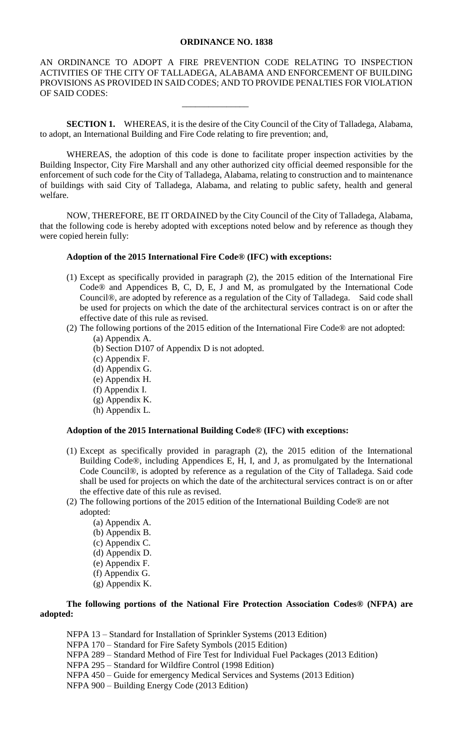## **ORDINANCE NO. 1838**

AN ORDINANCE TO ADOPT A FIRE PREVENTION CODE RELATING TO INSPECTION ACTIVITIES OF THE CITY OF TALLADEGA, ALABAMA AND ENFORCEMENT OF BUILDING PROVISIONS AS PROVIDED IN SAID CODES; AND TO PROVIDE PENALTIES FOR VIOLATION OF SAID CODES:

**SECTION 1.** WHEREAS, it is the desire of the City Council of the City of Talladega, Alabama, to adopt, an International Building and Fire Code relating to fire prevention; and,

\_\_\_\_\_\_\_\_\_\_\_\_\_\_\_

WHEREAS, the adoption of this code is done to facilitate proper inspection activities by the Building Inspector, City Fire Marshall and any other authorized city official deemed responsible for the enforcement of such code for the City of Talladega, Alabama, relating to construction and to maintenance of buildings with said City of Talladega, Alabama, and relating to public safety, health and general welfare.

NOW, THEREFORE, BE IT ORDAINED by the City Council of the City of Talladega, Alabama, that the following code is hereby adopted with exceptions noted below and by reference as though they were copied herein fully:

## **Adoption of the 2015 International Fire Code® (IFC) with exceptions:**

- (1) Except as specifically provided in paragraph (2), the 2015 edition of the International Fire Code® and Appendices B, C, D, E, J and M, as promulgated by the International Code Council®, are adopted by reference as a regulation of the City of Talladega. Said code shall be used for projects on which the date of the architectural services contract is on or after the effective date of this rule as revised.
- (2) The following portions of the 2015 edition of the International Fire Code® are not adopted:
	- (a) Appendix A.
	- (b) Section D107 of Appendix D is not adopted.
	- (c) Appendix F.
	- (d) Appendix G.
	- (e) Appendix H.
	- (f) Appendix I.
	- (g) Appendix K.
	- (h) Appendix L.

## **Adoption of the 2015 International Building Code® (IFC) with exceptions:**

- (1) Except as specifically provided in paragraph (2), the 2015 edition of the International Building Code®, including Appendices E, H, I, and J, as promulgated by the International Code Council®, is adopted by reference as a regulation of the City of Talladega. Said code shall be used for projects on which the date of the architectural services contract is on or after the effective date of this rule as revised.
- (2) The following portions of the 2015 edition of the International Building Code® are not adopted:
	- (a) Appendix A.
	- (b) Appendix B.
	- (c) Appendix C.
	- (d) Appendix D.
	- (e) Appendix F.
	- (f) Appendix G.
	- (g) Appendix K.

## **The following portions of the National Fire Protection Association Codes® (NFPA) are adopted:**

NFPA 13 – Standard for Installation of Sprinkler Systems (2013 Edition) NFPA 170 – Standard for Fire Safety Symbols (2015 Edition) NFPA 289 – Standard Method of Fire Test for Individual Fuel Packages (2013 Edition) NFPA 295 – Standard for Wildfire Control (1998 Edition) NFPA 450 – Guide for emergency Medical Services and Systems (2013 Edition) NFPA 900 – Building Energy Code (2013 Edition)